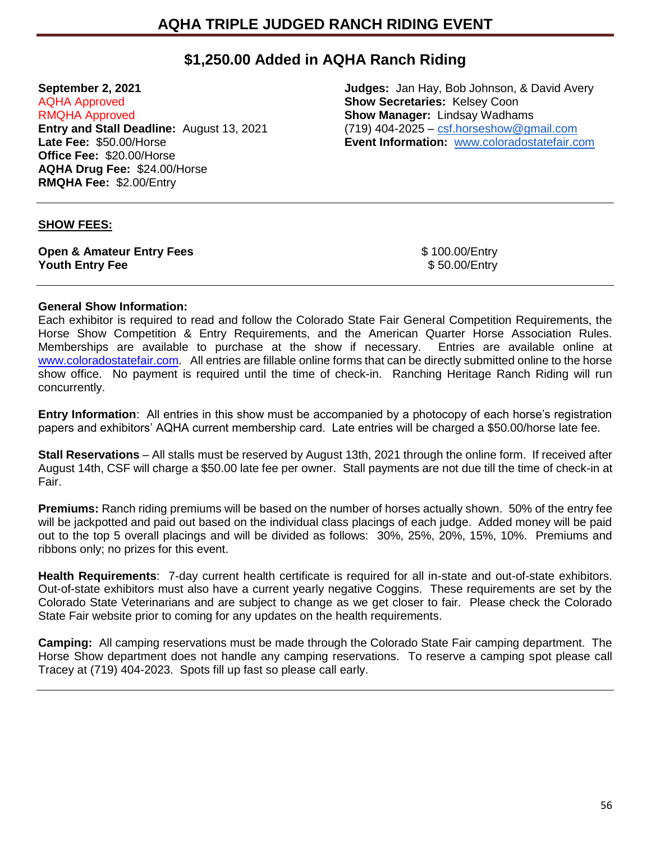## **\$1,250.00 Added in AQHA Ranch Riding**

AQHA Approved **Show Secretaries:** Kelsey Coon RMQHA Approved **Show Manager:** Lindsay Wadhams **Entry and Stall Deadline:** August 13, 2021 (719) 404-2025 – [csf.horseshow@gmail.com](mailto:csf.horseshow@gmail.com)<br> **Late Fee:** \$50.00/Horse **Event Information:** www.coloradostatefair.com **Office Fee:** \$20.00/Horse **AQHA Drug Fee:** \$24.00/Horse **RMQHA Fee:** \$2.00/Entry

**September 2, 2021 Judges:** Jan Hay, Bob Johnson, & David Avery **Event Information: <b>WWW.coloradostatefair.com** 

## **SHOW FEES:**

**Open & Amateur Entry Fees**<br> **Youth Entry Fee** \$ 50.00/Entry<br>
\$ 50.00/Entry **Youth Entry Fee** 

## **General Show Information:**

Each exhibitor is required to read and follow the Colorado State Fair General Competition Requirements, the Horse Show Competition & Entry Requirements, and the American Quarter Horse Association Rules. Memberships are available to purchase at the show if necessary. Entries are available online at [www.coloradostatefair.com.](http://www.coloradostatefair.com/) All entries are fillable online forms that can be directly submitted online to the horse show office. No payment is required until the time of check-in. Ranching Heritage Ranch Riding will run concurrently.

**Entry Information**: All entries in this show must be accompanied by a photocopy of each horse's registration papers and exhibitors' AQHA current membership card. Late entries will be charged a \$50.00/horse late fee.

**Stall Reservations** – All stalls must be reserved by August 13th, 2021 through the online form. If received after August 14th, CSF will charge a \$50.00 late fee per owner. Stall payments are not due till the time of check-in at Fair.

**Premiums:** Ranch riding premiums will be based on the number of horses actually shown. 50% of the entry fee will be jackpotted and paid out based on the individual class placings of each judge. Added money will be paid out to the top 5 overall placings and will be divided as follows: 30%, 25%, 20%, 15%, 10%. Premiums and ribbons only; no prizes for this event.

**Health Requirements**: 7-day current health certificate is required for all in-state and out-of-state exhibitors. Out-of-state exhibitors must also have a current yearly negative Coggins. These requirements are set by the Colorado State Veterinarians and are subject to change as we get closer to fair. Please check the Colorado State Fair website prior to coming for any updates on the health requirements.

**Camping:** All camping reservations must be made through the Colorado State Fair camping department. The Horse Show department does not handle any camping reservations. To reserve a camping spot please call Tracey at (719) 404-2023. Spots fill up fast so please call early.